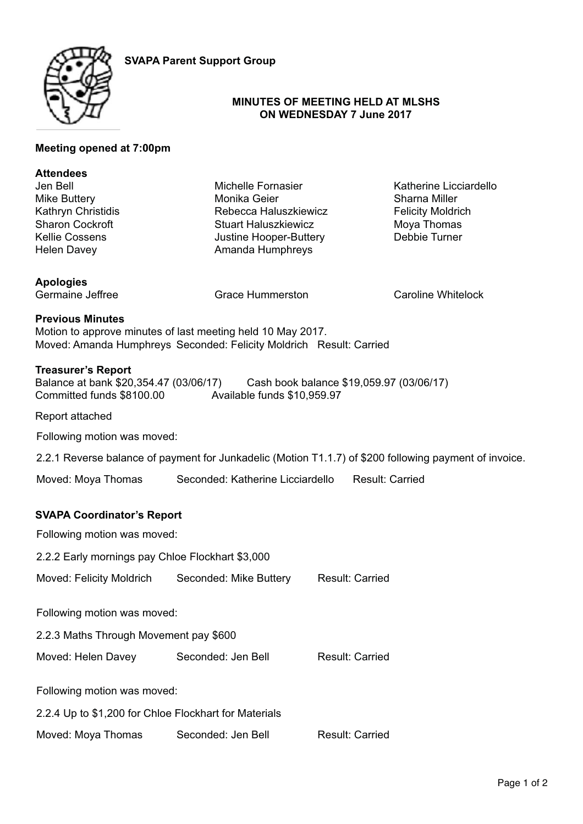

# **MINUTES OF MEETING HELD AT MLSHS ON WEDNESDAY 7 June 2017**

# **Meeting opened at 7:00pm**

| <b>Attendees</b><br>Jen Bell<br>Mike Buttery<br>Kathryn Christidis | Michelle Fornasier<br>Monika Geier<br>Rebecca Haluszkiewicz                                                                        | Katherine Licciardello<br>Sharna Miller<br><b>Felicity Moldrich</b> |
|--------------------------------------------------------------------|------------------------------------------------------------------------------------------------------------------------------------|---------------------------------------------------------------------|
| <b>Sharon Cockroft</b><br>Kellie Cossens<br><b>Helen Davey</b>     | <b>Stuart Haluszkiewicz</b><br>Justine Hooper-Buttery<br>Amanda Humphreys                                                          | Moya Thomas<br>Debbie Turner                                        |
| <b>Apologies</b><br>Germaine Jeffree                               | <b>Grace Hummerston</b>                                                                                                            | Caroline Whitelock                                                  |
| <b>Previous Minutes</b>                                            | Motion to approve minutes of last meeting held 10 May 2017.<br>Moved: Amanda Humphreys Seconded: Felicity Moldrich Result: Carried |                                                                     |

### **Treasurer's Report**

Balance at bank \$20,354.47 (03/06/17) Cash book balance \$19,059.97 (03/06/17) Committed funds \$8100.00 Available funds \$10,959.97

Report attached

Following motion was moved:

2.2.1 Reverse balance of payment for Junkadelic (Motion T1.1.7) of \$200 following payment of invoice.

Moved: Moya Thomas Seconded: Katherine Licciardello Result: Carried

#### **SVAPA Coordinator's Report**

Following motion was moved:

2.2.2 Early mornings pay Chloe Flockhart \$3,000

Moved: Felicity Moldrich Seconded: Mike Buttery Result: Carried

Following motion was moved:

2.2.3 Maths Through Movement pay \$600

Moved: Helen Davey Seconded: Jen Bell Result: Carried

Following motion was moved:

2.2.4 Up to \$1,200 for Chloe Flockhart for Materials

Moved: Moya Thomas Seconded: Jen Bell Result: Carried